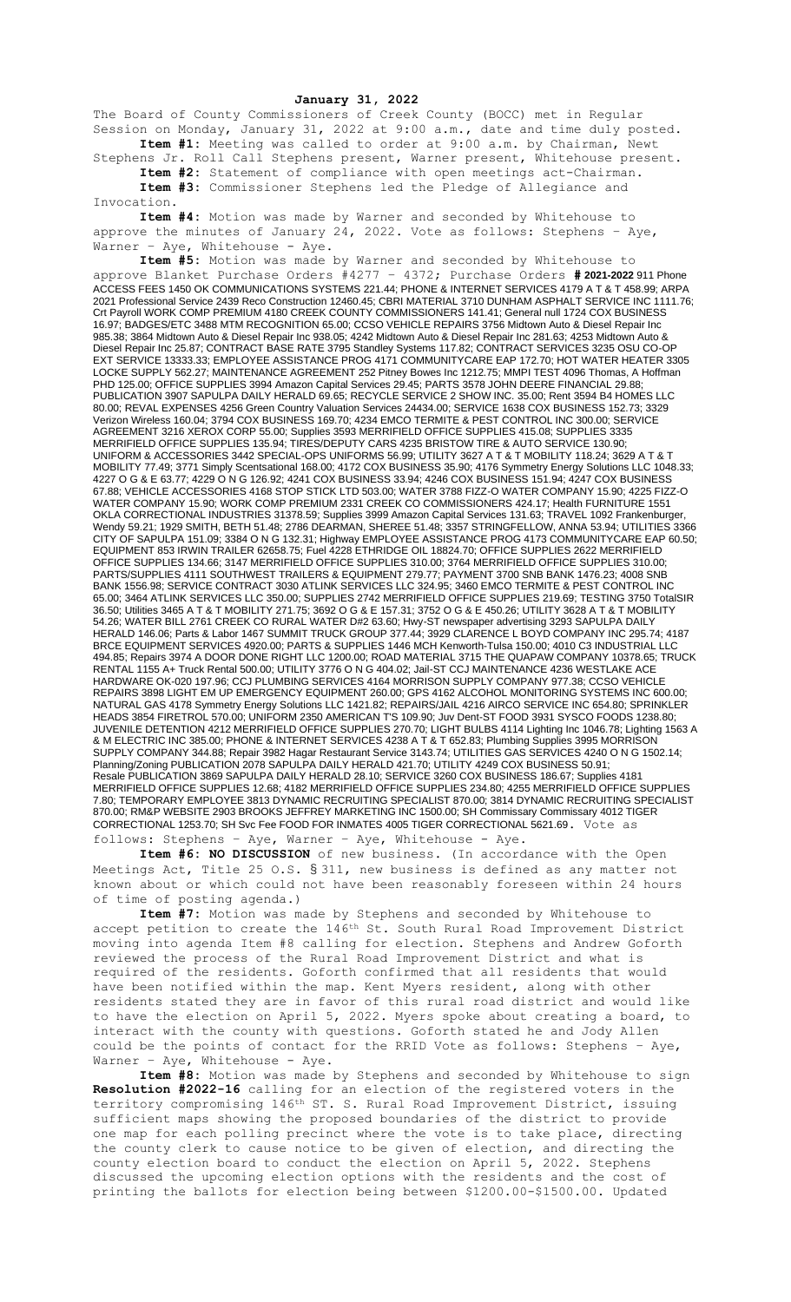## **January 31, 2022**

The Board of County Commissioners of Creek County (BOCC) met in Regular Session on Monday, January 31, 2022 at 9:00 a.m., date and time duly posted. **Item #1:** Meeting was called to order at 9:00 a.m. by Chairman, Newt

Stephens Jr. Roll Call Stephens present, Warner present, Whitehouse present. **Item #2:** Statement of compliance with open meetings act-Chairman. **Item #3:** Commissioner Stephens led the Pledge of Allegiance and

Invocation.

**Item #4:** Motion was made by Warner and seconded by Whitehouse to approve the minutes of January 24, 2022. Vote as follows: Stephens - Aye, Warner - Aye, Whitehouse - Aye.

**Item #5:** Motion was made by Warner and seconded by Whitehouse to approve Blanket Purchase Orders #4277 – 4372; Purchase Orders **# 2021-2022** 911 Phone ACCESS FEES 1450 OK COMMUNICATIONS SYSTEMS 221.44; PHONE & INTERNET SERVICES 4179 A T & T 458.99; ARPA 2021 Professional Service 2439 Reco Construction 12460.45; CBRI MATERIAL 3710 DUNHAM ASPHALT SERVICE INC 1111.76; Crt Payroll WORK COMP PREMIUM 4180 CREEK COUNTY COMMISSIONERS 141.41; General null 1724 COX BUSINESS 16.97; BADGES/ETC 3488 MTM RECOGNITION 65.00; CCSO VEHICLE REPAIRS 3756 Midtown Auto & Diesel Repair Inc 985.38; 3864 Midtown Auto & Diesel Repair Inc 938.05; 4242 Midtown Auto & Diesel Repair Inc 281.63; 4253 Midtown Auto & Diesel Repair Inc 25.87; CONTRACT BASE RATE 3795 Standley Systems 117.82; CONTRACT SERVICES 3235 OSU CO-OP EXT SERVICE 13333.33; EMPLOYEE ASSISTANCE PROG 4171 COMMUNITYCARE EAP 172.70; HOT WATER HEATER 3305 LOCKE SUPPLY 562.27; MAINTENANCE AGREEMENT 252 Pitney Bowes Inc 1212.75; MMPI TEST 4096 Thomas, A Hoffman PHD 125.00; OFFICE SUPPLIES 3994 Amazon Capital Services 29.45; PARTS 3578 JOHN DEERE FINANCIAL 29.88; PUBLICATION 3907 SAPULPA DAILY HERALD 69.65; RECYCLE SERVICE 2 SHOW INC. 35.00; Rent 3594 B4 HOMES LLC 80.00; REVAL EXPENSES 4256 Green Country Valuation Services 24434.00; SERVICE 1638 COX BUSINESS 152.73; 3329 Verizon Wireless 160.04; 3794 COX BUSINESS 169.70; 4234 EMCO TERMITE & PEST CONTROL INC 300.00; SERVICE AGREEMENT 3216 XEROX CORP 55.00; Supplies 3593 MERRIFIELD OFFICE SUPPLIES 415.08; SUPPLIES 3335 MERRIFIELD OFFICE SUPPLIES 135.94; TIRES/DEPUTY CARS 4235 BRISTOW TIRE & AUTO SERVICE 130.90; UNIFORM & ACCESSORIES 3442 SPECIAL-OPS UNIFORMS 56.99; UTILITY 3627 A T & T MOBILITY 118.24; 3629 A T & T MOBILITY 77.49; 3771 Simply Scentsational 168.00; 4172 COX BUSINESS 35.90; 4176 Symmetry Energy Solutions LLC 1048.33; 4227 O G & E 63.77; 4229 O N G 126.92; 4241 COX BUSINESS 33.94; 4246 COX BUSINESS 151.94; 4247 COX BUSINESS 67.88; VEHICLE ACCESSORIES 4168 STOP STICK LTD 503.00; WATER 3788 FIZZ-O WATER COMPANY 15.90; 4225 FIZZ-O WATER COMPANY 15.90; WORK COMP PREMIUM 2331 CREEK CO COMMISSIONERS 424.17; Health FURNITURE 1551 OKLA CORRECTIONAL INDUSTRIES 31378.59; Supplies 3999 Amazon Capital Services 131.63; TRAVEL 1092 Frankenburger, Wendy 59.21; 1929 SMITH, BETH 51.48; 2786 DEARMAN, SHEREE 51.48; 3357 STRINGFELLOW, ANNA 53.94; UTILITIES 3366 CITY OF SAPULPA 151.09; 3384 O N G 132.31; Highway EMPLOYEE ASSISTANCE PROG 4173 COMMUNITYCARE EAP 60.50; EQUIPMENT 853 IRWIN TRAILER 62658.75; Fuel 4228 ETHRIDGE OIL 18824.70; OFFICE SUPPLIES 2622 MERRIFIELD OFFICE SUPPLIES 134.66; 3147 MERRIFIELD OFFICE SUPPLIES 310.00; 3764 MERRIFIELD OFFICE SUPPLIES 310.00; PARTS/SUPPLIES 4111 SOUTHWEST TRAILERS & EQUIPMENT 279.77; PAYMENT 3700 SNB BANK 1476.23; 4008 SNB BANK 1556.98; SERVICE CONTRACT 3030 ATLINK SERVICES LLC 324.95; 3460 EMCO TERMITE & PEST CONTROL INC 65.00; 3464 ATLINK SERVICES LLC 350.00; SUPPLIES 2742 MERRIFIELD OFFICE SUPPLIES 219.69; TESTING 3750 TotalSIR 36.50; Utilities 3465 A T & T MOBILITY 271.75; 3692 O G & E 157.31; 3752 O G & E 450.26; UTILITY 3628 A T & T MOBILITY 54.26; WATER BILL 2761 CREEK CO RURAL WATER D#2 63.60; Hwy-ST newspaper advertising 3293 SAPULPA DAILY HERALD 146.06; Parts & Labor 1467 SUMMIT TRUCK GROUP 377.44; 3929 CLARENCE L BOYD COMPANY INC 295.74; 4187 BRCE EQUIPMENT SERVICES 4920.00; PARTS & SUPPLIES 1446 MCH Kenworth-Tulsa 150.00; 4010 C3 INDUSTRIAL LLC 494.85; Repairs 3974 A DOOR DONE RIGHT LLC 1200.00; ROAD MATERIAL 3715 THE QUAPAW COMPANY 10378.65; TRUCK RENTAL 1155 A+ Truck Rental 500.00; UTILITY 3776 O N G 404.02; Jail-ST CCJ MAINTENANCE 4236 WESTLAKE ACE HARDWARE OK-020 197.96; CCJ PLUMBING SERVICES 4164 MORRISON SUPPLY COMPANY 977.38; CCSO VEHICLE REPAIRS 3898 LIGHT EM UP EMERGENCY EQUIPMENT 260.00; GPS 4162 ALCOHOL MONITORING SYSTEMS INC 600.00; NATURAL GAS 4178 Symmetry Energy Solutions LLC 1421.82; REPAIRS/JAIL 4216 AIRCO SERVICE INC 654.80; SPRINKLER HEADS 3854 FIRETROL 570.00; UNIFORM 2350 AMERICAN T'S 109.90; Juv Dent-ST FOOD 3931 SYSCO FOODS 1238.80; JUVENILE DETENTION 4212 MERRIFIELD OFFICE SUPPLIES 270.70; LIGHT BULBS 4114 Lighting Inc 1046.78; Lighting 1563 A & M ELECTRIC INC 385.00; PHONE & INTERNET SERVICES 4238 A T & T 652.83; Plumbing Supplies 3995 MORRISON SUPPLY COMPANY 344.88; Repair 3982 Hagar Restaurant Service 3143.74; UTILITIES GAS SERVICES 4240 O N G 1502.14; Planning/Zoning PUBLICATION 2078 SAPULPA DAILY HERALD 421.70; UTILITY 4249 COX BUSINESS 50.91; Resale PUBLICATION 3869 SAPULPA DAILY HERALD 28.10; SERVICE 3260 COX BUSINESS 186.67; Supplies 4181 MERRIFIELD OFFICE SUPPLIES 12.68; 4182 MERRIFIELD OFFICE SUPPLIES 234.80; 4255 MERRIFIELD OFFICE SUPPLIES 7.80; TEMPORARY EMPLOYEE 3813 DYNAMIC RECRUITING SPECIALIST 870.00; 3814 DYNAMIC RECRUITING SPECIALIST 870.00; RM&P WEBSITE 2903 BROOKS JEFFREY MARKETING INC 1500.00; SH Commissary Commissary 4012 TIGER CORRECTIONAL 1253.70; SH Svc Fee FOOD FOR INMATES 4005 TIGER CORRECTIONAL 5621.69. Vote as follows: Stephens – Aye, Warner – Aye, Whitehouse - Aye.

**Item #6: NO DISCUSSION** of new business. (In accordance with the Open Meetings Act, Title 25 O.S. § 311, new business is defined as any matter not known about or which could not have been reasonably foreseen within 24 hours of time of posting agenda.)

**Item #7:** Motion was made by Stephens and seconded by Whitehouse to accept petition to create the 146th St. South Rural Road Improvement District moving into agenda Item #8 calling for election. Stephens and Andrew Goforth reviewed the process of the Rural Road Improvement District and what is required of the residents. Goforth confirmed that all residents that would have been notified within the map. Kent Myers resident, along with other residents stated they are in favor of this rural road district and would like to have the election on April 5, 2022. Myers spoke about creating a board, to interact with the county with questions. Goforth stated he and Jody Allen could be the points of contact for the RRID Vote as follows: Stephens – Aye, Warner - Aye, Whitehouse - Aye.

**Item #8:** Motion was made by Stephens and seconded by Whitehouse to sign **Resolution #2022-16** calling for an election of the registered voters in the territory compromising 146<sup>th</sup> ST. S. Rural Road Improvement District, issuing sufficient maps showing the proposed boundaries of the district to provide one map for each polling precinct where the vote is to take place, directing the county clerk to cause notice to be given of election, and directing the county election board to conduct the election on April 5, 2022. Stephens discussed the upcoming election options with the residents and the cost of printing the ballots for election being between \$1200.00-\$1500.00. Updated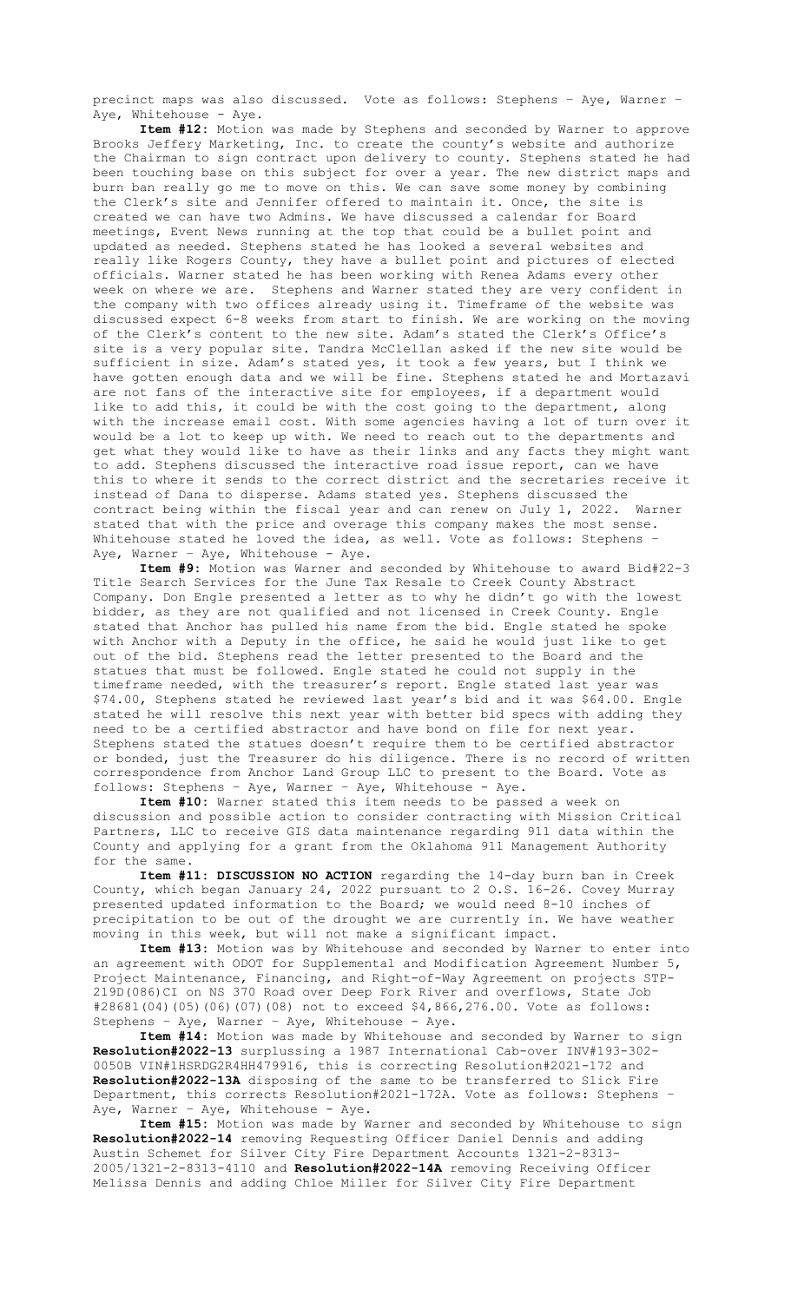precinct maps was also discussed. Vote as follows: Stephens – Aye, Warner – Aye, Whitehouse - Aye.

**Item #12:** Motion was made by Stephens and seconded by Warner to approve Brooks Jeffery Marketing, Inc. to create the county's website and authorize the Chairman to sign contract upon delivery to county. Stephens stated he had been touching base on this subject for over a year. The new district maps and burn ban really go me to move on this. We can save some money by combining the Clerk's site and Jennifer offered to maintain it. Once, the site is created we can have two Admins. We have discussed a calendar for Board meetings, Event News running at the top that could be a bullet point and updated as needed. Stephens stated he has looked a several websites and really like Rogers County, they have a bullet point and pictures of elected officials. Warner stated he has been working with Renea Adams every other week on where we are. Stephens and Warner stated they are very confident in the company with two offices already using it. Timeframe of the website was discussed expect 6-8 weeks from start to finish. We are working on the moving of the Clerk's content to the new site. Adam's stated the Clerk's Office's site is a very popular site. Tandra McClellan asked if the new site would be sufficient in size. Adam's stated yes, it took a few years, but I think we have gotten enough data and we will be fine. Stephens stated he and Mortazavi are not fans of the interactive site for employees, if a department would like to add this, it could be with the cost going to the department, along with the increase email cost. With some agencies having a lot of turn over it would be a lot to keep up with. We need to reach out to the departments and get what they would like to have as their links and any facts they might want to add. Stephens discussed the interactive road issue report, can we have this to where it sends to the correct district and the secretaries receive it instead of Dana to disperse. Adams stated yes. Stephens discussed the contract being within the fiscal year and can renew on July 1, 2022. Warner stated that with the price and overage this company makes the most sense. Whitehouse stated he loved the idea, as well. Vote as follows: Stephens -Aye, Warner - Aye, Whitehouse - Aye.

**Item #9:** Motion was Warner and seconded by Whitehouse to award Bid#22-3 Title Search Services for the June Tax Resale to Creek County Abstract Company. Don Engle presented a letter as to why he didn't go with the lowest bidder, as they are not qualified and not licensed in Creek County. Engle stated that Anchor has pulled his name from the bid. Engle stated he spoke with Anchor with a Deputy in the office, he said he would just like to get out of the bid. Stephens read the letter presented to the Board and the statues that must be followed. Engle stated he could not supply in the timeframe needed, with the treasurer's report. Engle stated last year was \$74.00, Stephens stated he reviewed last year's bid and it was \$64.00. Engle stated he will resolve this next year with better bid specs with adding they need to be a certified abstractor and have bond on file for next year. Stephens stated the statues doesn't require them to be certified abstractor or bonded, just the Treasurer do his diligence. There is no record of written correspondence from Anchor Land Group LLC to present to the Board. Vote as follows: Stephens – Aye, Warner – Aye, Whitehouse - Aye.

**Item #10:** Warner stated this item needs to be passed a week on discussion and possible action to consider contracting with Mission Critical Partners, LLC to receive GIS data maintenance regarding 911 data within the County and applying for a grant from the Oklahoma 911 Management Authority for the same.

**Item #11: DISCUSSION NO ACTION** regarding the 14-day burn ban in Creek County, which began January 24, 2022 pursuant to 2 O.S. 16-26. Covey Murray presented updated information to the Board; we would need 8-10 inches of precipitation to be out of the drought we are currently in. We have weather moving in this week, but will not make a significant impact.

**Item #13:** Motion was by Whitehouse and seconded by Warner to enter into an agreement with ODOT for Supplemental and Modification Agreement Number 5, Project Maintenance, Financing, and Right-of-Way Agreement on projects STP-219D(086)CI on NS 370 Road over Deep Fork River and overflows, State Job #28681(04)(05)(06)(07)(08) not to exceed \$4,866,276.00. Vote as follows: Stephens – Aye, Warner – Aye, Whitehouse - Aye.

**Item #14:** Motion was made by Whitehouse and seconded by Warner to sign **Resolution#2022-13** surplussing a 1987 International Cab-over INV#193-302- 0050B VIN#1HSRDG2R4HH479916, this is correcting Resolution#2021-172 and **Resolution#2022-13A** disposing of the same to be transferred to Slick Fire Department, this corrects Resolution#2021-172A. Vote as follows: Stephens – Aye, Warner - Aye, Whitehouse - Aye.

**Item #15:** Motion was made by Warner and seconded by Whitehouse to sign **Resolution#2022-14** removing Requesting Officer Daniel Dennis and adding Austin Schemet for Silver City Fire Department Accounts 1321-2-8313- 2005/1321-2-8313-4110 and **Resolution#2022-14A** removing Receiving Officer Melissa Dennis and adding Chloe Miller for Silver City Fire Department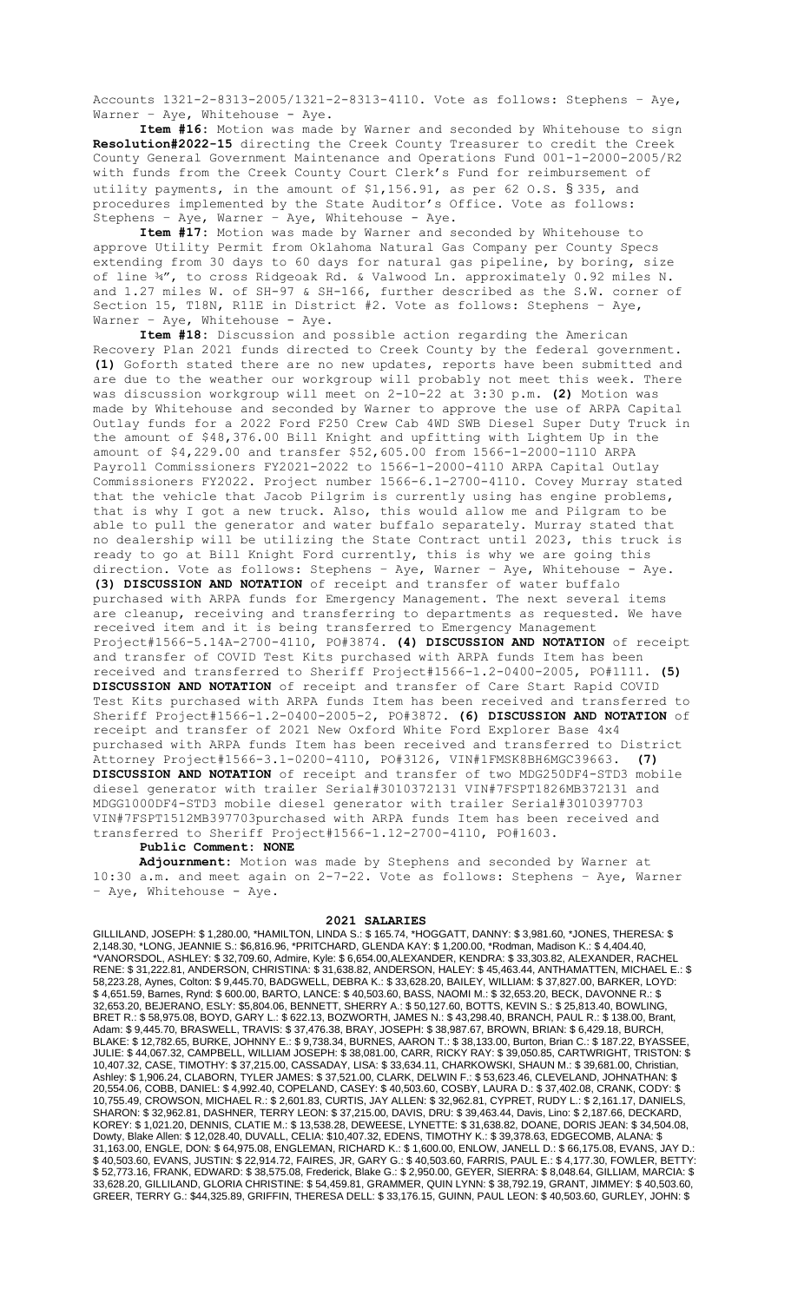Accounts 1321-2-8313-2005/1321-2-8313-4110. Vote as follows: Stephens – Aye, Warner - Aye, Whitehouse - Aye.

**Item #16:** Motion was made by Warner and seconded by Whitehouse to sign **Resolution#2022-15** directing the Creek County Treasurer to credit the Creek County General Government Maintenance and Operations Fund 001-1-2000-2005/R2 with funds from the Creek County Court Clerk's Fund for reimbursement of utility payments, in the amount of \$1,156.91, as per 62 O.S. § 335, and procedures implemented by the State Auditor's Office. Vote as follows: Stephens – Aye, Warner – Aye, Whitehouse - Aye.

**Item #17:** Motion was made by Warner and seconded by Whitehouse to approve Utility Permit from Oklahoma Natural Gas Company per County Specs extending from 30 days to 60 days for natural gas pipeline, by boring, size of line ¾", to cross Ridgeoak Rd. & Valwood Ln. approximately 0.92 miles N. and 1.27 miles W. of SH-97 & SH-166, further described as the S.W. corner of Section 15, T18N, R11E in District #2. Vote as follows: Stephens – Aye, Warner - Aye, Whitehouse - Aye.

**Item #18:** Discussion and possible action regarding the American Recovery Plan 2021 funds directed to Creek County by the federal government. **(1)** Goforth stated there are no new updates, reports have been submitted and are due to the weather our workgroup will probably not meet this week. There was discussion workgroup will meet on 2-10-22 at 3:30 p.m. **(2)** Motion was made by Whitehouse and seconded by Warner to approve the use of ARPA Capital Outlay funds for a 2022 Ford F250 Crew Cab 4WD SWB Diesel Super Duty Truck in the amount of \$48,376.00 Bill Knight and upfitting with Lightem Up in the amount of \$4,229.00 and transfer \$52,605.00 from 1566-1-2000-1110 ARPA Payroll Commissioners FY2021-2022 to 1566-1-2000-4110 ARPA Capital Outlay Commissioners FY2022. Project number 1566-6.1-2700-4110. Covey Murray stated that the vehicle that Jacob Pilgrim is currently using has engine problems, that is why I got a new truck. Also, this would allow me and Pilgram to be able to pull the generator and water buffalo separately. Murray stated that no dealership will be utilizing the State Contract until 2023, this truck is ready to go at Bill Knight Ford currently, this is why we are going this direction. Vote as follows: Stephens – Aye, Warner – Aye, Whitehouse - Aye. **(3) DISCUSSION AND NOTATION** of receipt and transfer of water buffalo purchased with ARPA funds for Emergency Management. The next several items are cleanup, receiving and transferring to departments as requested. We have received item and it is being transferred to Emergency Management Project#1566-5.14A-2700-4110, PO#3874. **(4) DISCUSSION AND NOTATION** of receipt and transfer of COVID Test Kits purchased with ARPA funds Item has been received and transferred to Sheriff Project#1566-1.2-0400-2005, PO#1111. **(5) DISCUSSION AND NOTATION** of receipt and transfer of Care Start Rapid COVID Test Kits purchased with ARPA funds Item has been received and transferred to Sheriff Project#1566-1.2-0400-2005-2, PO#3872. **(6) DISCUSSION AND NOTATION** of receipt and transfer of 2021 New Oxford White Ford Explorer Base 4x4 purchased with ARPA funds Item has been received and transferred to District Attorney Project#1566-3.1-0200-4110, PO#3126, VIN#1FMSK8BH6MGC39663. **(7) DISCUSSION AND NOTATION** of receipt and transfer of two MDG250DF4-STD3 mobile diesel generator with trailer Serial#3010372131 VIN#7FSPT1826MB372131 and MDGG1000DF4-STD3 mobile diesel generator with trailer Serial#3010397703 VIN#7FSPT1512MB397703purchased with ARPA funds Item has been received and transferred to Sheriff Project#1566-1.12-2700-4110, PO#1603.

## **Public Comment: NONE**

**Adjournment:** Motion was made by Stephens and seconded by Warner at 10:30 a.m. and meet again on 2-7-22. Vote as follows: Stephens – Aye, Warner - Aye, Whitehouse - Aye.

2021 SALARIES<br>GILLILAND, JOSEPH: \$ 1,280.00, \*HAMILTON, LINDA S.: \$ 165.74, \*HOGGATT, DANNY: \$ 3,981.60, \*JONES, THERESA: \$ GILLILAND, JOSEPH: \$ 1,280.00, \*HAMILTON, LINDA S.: \$ 165.74, \*HOGGATT, DANNY: \$ 3,981.60, \*JONES, THERESA: \$ 2,148.30, \*LONG, JEANNIE S.: \$6,816.96, \*PRITCHARD, GLENDA KAY: \$ 1,200.00, \*Rodman, Madison K.: \$ 4,404.40, \*VANORSDOL, ASHLEY: \$ 32,709.60, Admire, Kyle: \$ 6,654.00,ALEXANDER, KENDRA: \$ 33,303.82, ALEXANDER, RACHEL RENE: \$ 31,222.81, ANDERSON, CHRISTINA: \$ 31,638.82, ANDERSON, HALEY: \$ 45,463.44, ANTHAMATTEN, MICHAEL E.: \$ 58,223.28, Aynes, Colton: \$ 9,445.70, BADGWELL, DEBRA K.: \$ 33,628.20, BAILEY, WILLIAM: \$ 37,827.00, BARKER, LOYD: \$ 4,651.59, Barnes, Rynd: \$ 600.00, BARTO, LANCE: \$ 40,503.60, BASS, NAOMI M.: \$ 32,653.20, BECK, DAVONNE R.: \$ 32,653.20, BEJERANO, ESLY: \$5,804.06, BENNETT, SHERRY A.: \$ 50,127.60, BOTTS, KEVIN S.: \$ 25,813.40, BOWLING, BRET R.: \$ 58,975.08, BOYD, GARY L.: \$ 622.13, BOZWORTH, JAMES N.: \$ 43,298.40, BRANCH, PAUL R.: \$ 138.00, Brant, Adam: \$ 9,445.70, BRASWELL, TRAVIS: \$ 37,476.38, BRAY, JOSEPH: \$ 38,987.67, BROWN, BRIAN: \$ 6,429.18, BURCH, BLAKE: \$ 12,782.65, BURKE, JOHNNY E.: \$ 9,738.34, BURNES, AARON T.: \$ 38,133.00, Burton, Brian C.: \$ 187.22, BYASSEE, JULIE: \$ 44,067.32, CAMPBELL, WILLIAM JOSEPH: \$ 38,081.00, CARR, RICKY RAY: \$ 39,050.85, CARTWRIGHT, TRISTON: \$ 10,407.32, CASE, TIMOTHY: \$ 37,215.00, CASSADAY, LISA: \$ 33,634.11, CHARKOWSKI, SHAUN M.: \$ 39,681.00, Christian, Ashley: \$ 1,906.24, CLABORN, TYLER JAMES: \$ 37,521.00, CLARK, DELWIN F.: \$ 53,623.46, CLEVELAND, JOHNATHAN: \$ 20,554.06, COBB, DANIEL: \$ 4,992.40, COPELAND, CASEY: \$ 40,503.60, COSBY, LAURA D.: \$ 37,402.08, CRANK, CODY: \$ 10,755.49, CROWSON, MICHAEL R.: \$ 2,601.83, CURTIS, JAY ALLEN: \$ 32,962.81, CYPRET, RUDY L.: \$ 2,161.17, DANIELS, SHARON: \$ 32,962.81, DASHNER, TERRY LEON: \$ 37,215.00, DAVIS, DRU: \$ 39,463.44, Davis, Lino: \$ 2,187.66, DECKARD, KOREY: \$ 1,021.20, DENNIS, CLATIE M.: \$ 13,538.28, DEWEESE, LYNETTE: \$ 31,638.82, DOANE, DORIS JEAN: \$ 34,504.08, Dowty, Blake Allen: \$ 12,028.40, DUVALL, CELIA: \$10,407.32, EDENS, TIMOTHY K.: \$ 39,378.63, EDGECOMB, ALANA: \$ 31,163.00, ENGLE, DON: \$ 64,975.08, ENGLEMAN, RICHARD K.: \$ 1,600.00, ENLOW, JANELL D.: \$ 66,175.08, EVANS, JAY D.: \$ 40,503.60, EVANS, JUSTIN: \$ 22,914.72, FAIRES, JR, GARY G.: \$ 40,503.60, FARRIS, PAUL E.: \$ 4,177.30, FOWLER, BETTY: \$ 52,773.16, FRANK, EDWARD: \$ 38,575.08, Frederick, Blake G.: \$ 2,950.00, GEYER, SIERRA: \$ 8,048.64, GILLIAM, MARCIA: \$ 33,628.20, GILLILAND, GLORIA CHRISTINE: \$ 54,459.81, GRAMMER, QUIN LYNN: \$ 38,792.19, GRANT, JIMMEY: \$ 40,503.60, GREER, TERRY G.: \$44,325.89, GRIFFIN, THERESA DELL: \$ 33,176.15, GUINN, PAUL LEON: \$ 40,503.60, GURLEY, JOHN: \$